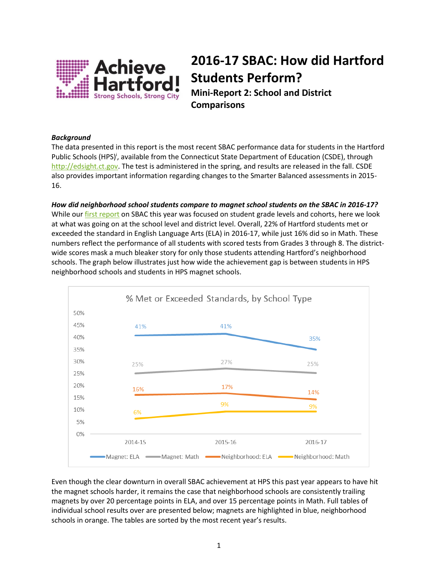

## **2016-17 SBAC: How did Hartford Students Perform?**

**Mini-Report 2: School and District Comparisons**

## *Background*

The data presented in this report is the most recent SBAC performance data for students in the Hartford Public Schools (HPS)<sup>i</sup>, available from the Connecticut State Department of Education (CSDE), through [http://edsight.ct.gov.](http://edsight.ct.gov/) The test is administered in the spring, and results are released in the fall. CSDE also provides important information regarding changes to the Smarter Balanced assessments in 2015- 16.

*How did neighborhood school students compare to magnet school students on the SBAC in 2016-17?* While ou[r first report](http://smarterhartford.org/media/1244/2016-17-sbac-report-1.pdf) on SBAC this year was focused on student grade levels and cohorts, here we look at what was going on at the school level and district level. Overall, 22% of Hartford students met or exceeded the standard in English Language Arts (ELA) in 2016-17, while just 16% did so in Math. These numbers reflect the performance of all students with scored tests from Grades 3 through 8. The districtwide scores mask a much bleaker story for only those students attending Hartford's neighborhood schools. The graph below illustrates just how wide the achievement gap is between students in HPS neighborhood schools and students in HPS magnet schools.



Even though the clear downturn in overall SBAC achievement at HPS this past year appears to have hit the magnet schools harder, it remains the case that neighborhood schools are consistently trailing magnets by over 20 percentage points in ELA, and over 15 percentage points in Math. Full tables of individual school results over are presented below; magnets are highlighted in blue, neighborhood schools in orange. The tables are sorted by the most recent year's results.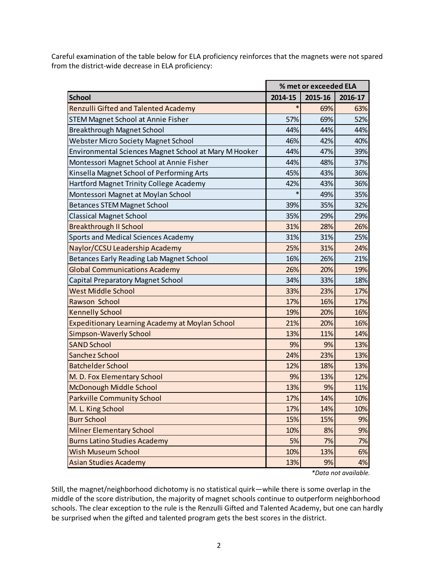Careful examination of the table below for ELA proficiency reinforces that the magnets were not spared from the district-wide decrease in ELA proficiency:

|                                                       |         | % met or exceeded ELA |                      |  |  |
|-------------------------------------------------------|---------|-----------------------|----------------------|--|--|
| <b>School</b>                                         | 2014-15 | 2015-16               | 2016-17              |  |  |
| <b>Renzulli Gifted and Talented Academy</b>           | $\ast$  | 69%                   | 63%                  |  |  |
| <b>STEM Magnet School at Annie Fisher</b>             | 57%     | 69%                   | 52%                  |  |  |
| <b>Breakthrough Magnet School</b>                     | 44%     | 44%                   | 44%                  |  |  |
| <b>Webster Micro Society Magnet School</b>            | 46%     | 42%                   | 40%                  |  |  |
| Environmental Sciences Magnet School at Mary M Hooker | 44%     | 47%                   | 39%                  |  |  |
| Montessori Magnet School at Annie Fisher              | 44%     | 48%                   | 37%                  |  |  |
| Kinsella Magnet School of Performing Arts             | 45%     | 43%                   | 36%                  |  |  |
| Hartford Magnet Trinity College Academy               | 42%     | 43%                   | 36%                  |  |  |
| Montessori Magnet at Moylan School                    | $\ast$  | 49%                   | 35%                  |  |  |
| <b>Betances STEM Magnet School</b>                    | 39%     | 35%                   | 32%                  |  |  |
| <b>Classical Magnet School</b>                        | 35%     | 29%                   | 29%                  |  |  |
| <b>Breakthrough II School</b>                         | 31%     | 28%                   | 26%                  |  |  |
| Sports and Medical Sciences Academy                   | 31%     | 31%                   | 25%                  |  |  |
| Naylor/CCSU Leadership Academy                        | 25%     | 31%                   | 24%                  |  |  |
| Betances Early Reading Lab Magnet School              | 16%     | 26%                   | 21%                  |  |  |
| <b>Global Communications Academy</b>                  | 26%     | 20%                   | 19%                  |  |  |
| Capital Preparatory Magnet School                     | 34%     | 33%                   | 18%                  |  |  |
| <b>West Middle School</b>                             | 33%     | 23%                   | 17%                  |  |  |
| Rawson School                                         | 17%     | 16%                   | 17%                  |  |  |
| <b>Kennelly School</b>                                | 19%     | 20%                   | 16%                  |  |  |
| Expeditionary Learning Academy at Moylan School       | 21%     | 20%                   | 16%                  |  |  |
| <b>Simpson-Waverly School</b>                         | 13%     | 11%                   | 14%                  |  |  |
| <b>SAND School</b>                                    | 9%      | 9%                    | 13%                  |  |  |
| Sanchez School                                        | 24%     | 23%                   | 13%                  |  |  |
| <b>Batchelder School</b>                              | 12%     | 18%                   | 13%                  |  |  |
| M. D. Fox Elementary School                           | 9%      | 13%                   | 12%                  |  |  |
| McDonough Middle School                               | 13%     | 9%                    | 11%                  |  |  |
| <b>Parkville Community School</b>                     | 17%     | 14%                   | 10%                  |  |  |
| M. L. King School                                     | 17%     | 14%                   | 10%                  |  |  |
| <b>Burr School</b>                                    | 15%     | 15%                   |                      |  |  |
| <b>Milner Elementary School</b>                       | 10%     | 8%                    |                      |  |  |
| <b>Burns Latino Studies Academy</b>                   | 5%      | 7%                    |                      |  |  |
| <b>Wish Museum School</b>                             | 10%     | 13%                   |                      |  |  |
| <b>Asian Studies Academy</b>                          | 13%     | 9%                    |                      |  |  |
|                                                       |         |                       | *Data not available. |  |  |

Still, the magnet/neighborhood dichotomy is no statistical quirk—while there is some overlap in the middle of the score distribution, the majority of magnet schools continue to outperform neighborhood schools. The clear exception to the rule is the Renzulli Gifted and Talented Academy, but one can hardly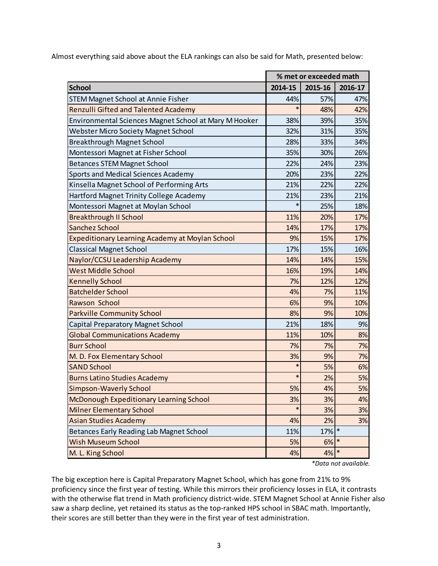Almost everything said above about the ELA rankings can also be said for Math, presented below:

|                                                                                                                                                                                                                                                                                                                                          |              | % met or exceeded math |
|------------------------------------------------------------------------------------------------------------------------------------------------------------------------------------------------------------------------------------------------------------------------------------------------------------------------------------------|--------------|------------------------|
| 2014-15<br>2015-16<br><b>School</b>                                                                                                                                                                                                                                                                                                      |              | 2016-17                |
| <b>STEM Magnet School at Annie Fisher</b><br>57%<br>44%                                                                                                                                                                                                                                                                                  |              |                        |
| <b>Renzulli Gifted and Talented Academy</b><br>48%                                                                                                                                                                                                                                                                                       |              |                        |
| Environmental Sciences Magnet School at Mary M Hooker<br>38%<br>39%                                                                                                                                                                                                                                                                      |              |                        |
| <b>Webster Micro Society Magnet School</b><br>32%<br>31%                                                                                                                                                                                                                                                                                 |              |                        |
| <b>Breakthrough Magnet School</b><br>28%<br>33%                                                                                                                                                                                                                                                                                          |              |                        |
| Montessori Magnet at Fisher School<br>35%<br>30%                                                                                                                                                                                                                                                                                         |              |                        |
| <b>Betances STEM Magnet School</b><br>22%<br>24%                                                                                                                                                                                                                                                                                         |              |                        |
| Sports and Medical Sciences Academy<br>20%<br>23%                                                                                                                                                                                                                                                                                        |              |                        |
| Kinsella Magnet School of Performing Arts<br>21%<br>22%                                                                                                                                                                                                                                                                                  |              |                        |
| Hartford Magnet Trinity College Academy<br>21%<br>23%                                                                                                                                                                                                                                                                                    |              |                        |
| $\ast$<br>Montessori Magnet at Moylan School<br>25%                                                                                                                                                                                                                                                                                      |              |                        |
| <b>Breakthrough II School</b><br>11%<br>20%                                                                                                                                                                                                                                                                                              |              |                        |
| <b>Sanchez School</b><br>17%<br>14%                                                                                                                                                                                                                                                                                                      |              |                        |
| Expeditionary Learning Academy at Moylan School<br>9%<br>15%                                                                                                                                                                                                                                                                             |              |                        |
| <b>Classical Magnet School</b><br>17%<br>15%                                                                                                                                                                                                                                                                                             |              |                        |
| Naylor/CCSU Leadership Academy<br>14%<br>14%                                                                                                                                                                                                                                                                                             |              |                        |
| <b>West Middle School</b><br>16%<br>19%                                                                                                                                                                                                                                                                                                  |              |                        |
| <b>Kennelly School</b><br>7%<br>12%                                                                                                                                                                                                                                                                                                      |              |                        |
| <b>Batchelder School</b><br>4%<br>7%                                                                                                                                                                                                                                                                                                     |              |                        |
| Rawson School<br>6%<br>9%                                                                                                                                                                                                                                                                                                                |              |                        |
| <b>Parkville Community School</b><br>8%<br>9%                                                                                                                                                                                                                                                                                            |              |                        |
| Capital Preparatory Magnet School<br>18%<br>21%                                                                                                                                                                                                                                                                                          |              |                        |
| <b>Global Communications Academy</b><br>11%<br>10%                                                                                                                                                                                                                                                                                       |              |                        |
| <b>Burr School</b><br>7%<br>7%                                                                                                                                                                                                                                                                                                           |              |                        |
| 3%<br>M. D. Fox Elementary School<br>9%                                                                                                                                                                                                                                                                                                  |              |                        |
| *<br><b>SAND School</b><br>5%                                                                                                                                                                                                                                                                                                            |              |                        |
| $\ast$<br><b>Burns Latino Studies Academy</b><br>2%                                                                                                                                                                                                                                                                                      |              |                        |
| 5%<br>4%<br><b>Simpson-Waverly School</b>                                                                                                                                                                                                                                                                                                |              |                        |
| 3%<br>3%<br>McDonough Expeditionary Learning School                                                                                                                                                                                                                                                                                      |              |                        |
| <b>Milner Elementary School</b><br>3%                                                                                                                                                                                                                                                                                                    |              |                        |
| <b>Asian Studies Academy</b><br>2%<br>4%                                                                                                                                                                                                                                                                                                 |              |                        |
| Betances Early Reading Lab Magnet School<br>11%                                                                                                                                                                                                                                                                                          | 17% *        |                        |
| <b>Wish Museum School</b><br>5%                                                                                                                                                                                                                                                                                                          | $\ast$<br>6% |                        |
| M. L. King School<br>4%                                                                                                                                                                                                                                                                                                                  | $\ast$<br>4% |                        |
| *Data not available.<br>The big exception here is Capital Preparatory Magnet School, which has gone from 21% to 9%<br>proficiency since the first year of testing. While this mirrors their proficiency losses in ELA, it contras<br>with the otherwise flat trend in Math proficiency district-wide. STEM Magnet School at Annie Fisher |              |                        |
| saw a sharp decline, yet retained its status as the top-ranked HPS school in SBAC math. Importantly,<br>their scores are still better than they were in the first year of test administration.                                                                                                                                           |              |                        |

The big exception here is Capital Preparatory Magnet School, which has gone from 21% to 9% proficiency since the first year of testing. While this mirrors their proficiency losses in ELA, it contrasts with the otherwise flat trend in Math proficiency district-wide. STEM Magnet School at Annie Fisher also saw a sharp decline, yet retained its status as the top-ranked HPS school in SBAC math. Importantly,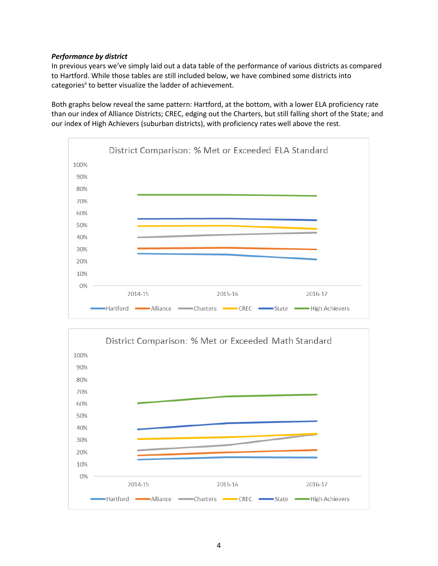## *Performance by district*

In previous years we've simply laid out a data table of the performance of various districts as compared to Hartford. While those tables are still included below, we have combined some districts into categories<sup>ii</sup> to better visualize the ladder of achievement.

Both graphs below reveal the same pattern: Hartford, at the bottom, with a lower ELA proficiency rate than our index of Alliance Districts; CREC, edging out the Charters, but still falling short of the State; and our index of High Achievers (suburban districts), with proficiency rates well above the rest.



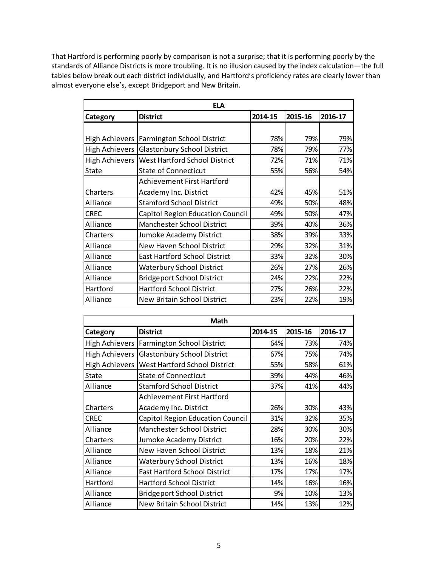That Hartford is performing poorly by comparison is not a surprise; that it is performing poorly by the standards of Alliance Districts is more troubling. It is no illusion caused by the index calculation—the full tables below break out each district individually, and Hartford's proficiency rates are clearly lower than almost everyone else's, except Bridgeport and New Britain.

|              | <b>ELA</b>                                     |         |         |         |
|--------------|------------------------------------------------|---------|---------|---------|
| Category     | <b>District</b>                                | 2014-15 | 2015-16 | 2016-17 |
|              |                                                |         |         |         |
|              | High Achievers   Farmington School District    | 78%     | 79%     | 79%     |
|              | High Achievers Glastonbury School District     | 78%     | 79%     | 77%     |
|              | High Achievers   West Hartford School District | 72%     | 71%     | 71%     |
| <b>State</b> | <b>State of Connecticut</b>                    | 55%     | 56%     | 54%     |
|              | Achievement First Hartford                     |         |         |         |
| Charters     | Academy Inc. District                          | 42%     | 45%     | 51%     |
| Alliance     | <b>Stamford School District</b>                | 49%     | 50%     | 48%     |
| <b>CREC</b>  | Capitol Region Education Council               | 49%     | 50%     | 47%     |
| Alliance     | Manchester School District                     | 39%     | 40%     | 36%     |
| Charters     | Jumoke Academy District                        | 38%     | 39%     | 33%     |
| Alliance     | New Haven School District                      | 29%     | 32%     | 31%     |
| Alliance     | <b>East Hartford School District</b>           | 33%     | 32%     | 30%     |
| Alliance     | <b>Waterbury School District</b>               | 26%     | 27%     | 26%     |
| Alliance     | <b>Bridgeport School District</b>              | 24%     | 22%     | 22%     |
| Hartford     | <b>Hartford School District</b>                | 27%     | 26%     | 22%     |
| Alliance     | New Britain School District                    | 23%     | 22%     | 19%     |

| Math                  |                                      |         |         |         |  |  |
|-----------------------|--------------------------------------|---------|---------|---------|--|--|
| Category              | <b>District</b>                      | 2014-15 | 2015-16 | 2016-17 |  |  |
| <b>High Achievers</b> | Farmington School District           | 64%     | 73%     | 74%     |  |  |
| <b>High Achievers</b> | <b>Glastonbury School District</b>   | 67%     | 75%     | 74%     |  |  |
| <b>High Achievers</b> | <b>West Hartford School District</b> | 55%     | 58%     | 61%     |  |  |
| <b>State</b>          | <b>State of Connecticut</b>          | 39%     | 44%     | 46%     |  |  |
| Alliance              | <b>Stamford School District</b>      | 37%     | 41%     | 44%     |  |  |
|                       | Achievement First Hartford           |         |         |         |  |  |
| Charters              | Academy Inc. District                | 26%     | 30%     | 43%     |  |  |
| <b>CREC</b>           | Capitol Region Education Council     | 31%     | 32%     | 35%     |  |  |
| Alliance              | Manchester School District           | 28%     | 30%     | 30%     |  |  |
| Charters              | Jumoke Academy District              | 16%     | 20%     | 22%     |  |  |
| Alliance              | New Haven School District            | 13%     | 18%     | 21%     |  |  |
| Alliance              | <b>Waterbury School District</b>     | 13%     | 16%     | 18%     |  |  |
| Alliance              | <b>East Hartford School District</b> | 17%     | 17%     | 17%     |  |  |
| Hartford              | <b>Hartford School District</b>      | 14%     | 16%     | 16%     |  |  |
| Alliance              | <b>Bridgeport School District</b>    | 9%      | 10%     | 13%     |  |  |
| Alliance              | <b>New Britain School District</b>   | 14%     | 13%     | 12%     |  |  |